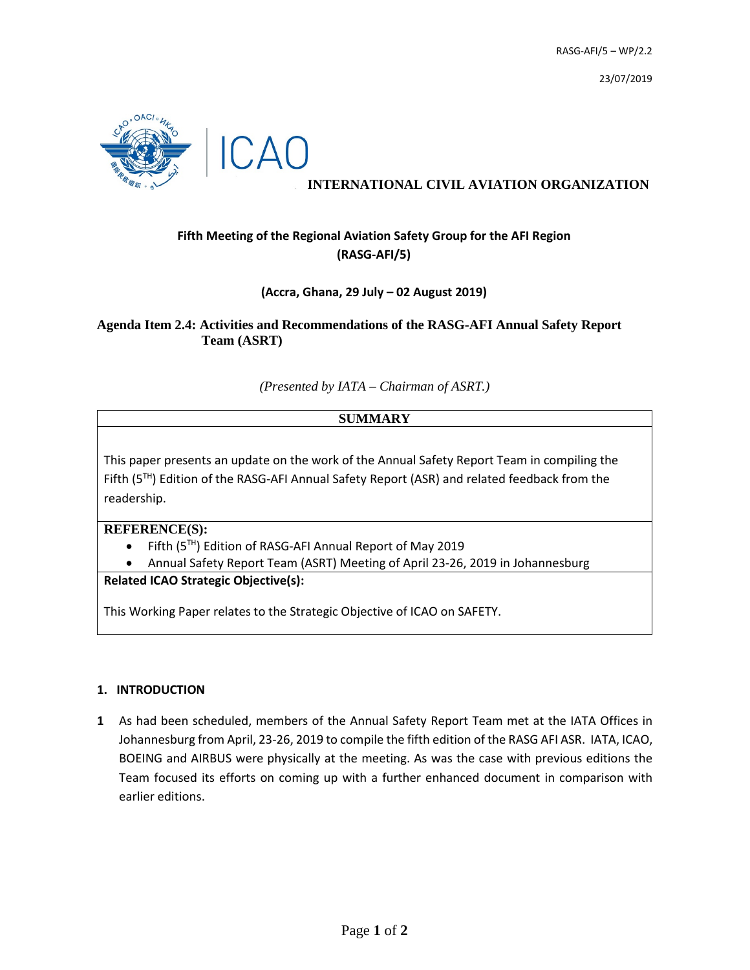23/07/2019



## **INTERNATIONAL CIVIL AVIATION ORGANIZATION**

# **Fifth Meeting of the Regional Aviation Safety Group for the AFI Region (RASG-AFI/5)**

### **(Accra, Ghana, 29 July – 02 August 2019)**

### **Agenda Item 2.4: Activities and Recommendations of the RASG-AFI Annual Safety Report Team (ASRT)**

*(Presented by IATA – Chairman of ASRT.)*

# **SUMMARY**

This paper presents an update on the work of the Annual Safety Report Team in compiling the Fifth (5TH) Edition of the RASG-AFI Annual Safety Report (ASR) and related feedback from the readership.

**REFERENCE(S):**

- Fifth (5<sup>TH</sup>) Edition of RASG-AFI Annual Report of May 2019
- Annual Safety Report Team (ASRT) Meeting of April 23-26, 2019 in Johannesburg

**Related ICAO Strategic Objective(s):**

This Working Paper relates to the Strategic Objective of ICAO on SAFETY.

### **1. INTRODUCTION**

**1** As had been scheduled, members of the Annual Safety Report Team met at the IATA Offices in Johannesburg from April, 23-26, 2019 to compile the fifth edition of the RASG AFI ASR. IATA, ICAO, BOEING and AIRBUS were physically at the meeting. As was the case with previous editions the Team focused its efforts on coming up with a further enhanced document in comparison with earlier editions.